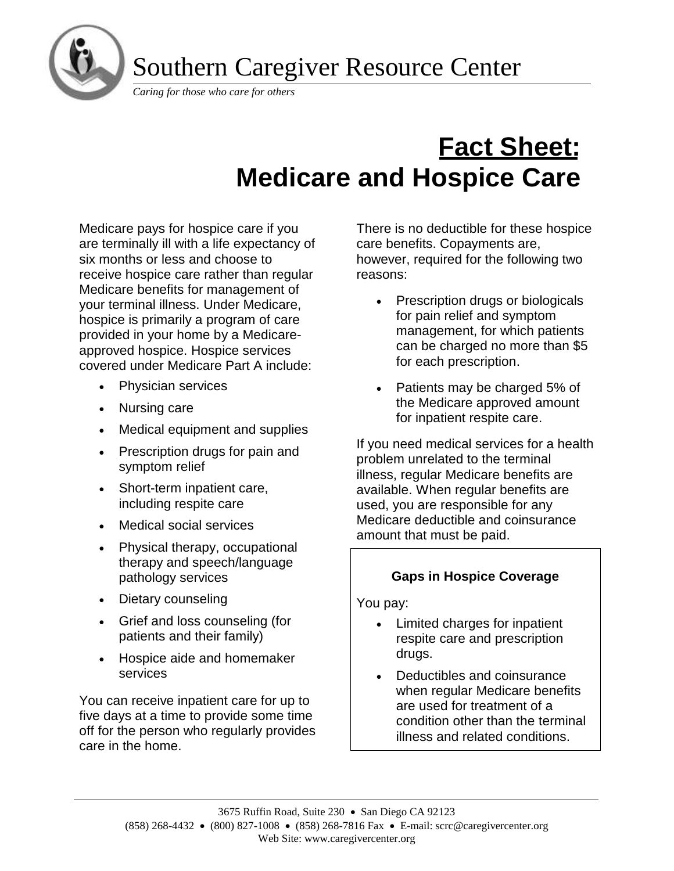

*Caring for those who care for others*

# **Fact Sheet: Medicare and Hospice Care**

Medicare pays for hospice care if you are terminally ill with a life expectancy of six months or less and choose to receive hospice care rather than regular Medicare benefits for management of your terminal illness. Under Medicare, hospice is primarily a program of care provided in your home by a Medicareapproved hospice. Hospice services covered under Medicare Part A include:

- Physician services
- Nursing care

i

- Medical equipment and supplies
- Prescription drugs for pain and symptom relief
- Short-term inpatient care, including respite care
- Medical social services
- Physical therapy, occupational therapy and speech/language pathology services
- Dietary counseling
- Grief and loss counseling (for patients and their family)
- Hospice aide and homemaker services

You can receive inpatient care for up to five days at a time to provide some time off for the person who regularly provides care in the home.

There is no deductible for these hospice care benefits. Copayments are, however, required for the following two reasons:

- Prescription drugs or biologicals for pain relief and symptom management, for which patients can be charged no more than \$5 for each prescription.
- Patients may be charged 5% of the Medicare approved amount for inpatient respite care.

If you need medical services for a health problem unrelated to the terminal illness, regular Medicare benefits are available. When regular benefits are used, you are responsible for any Medicare deductible and coinsurance amount that must be paid.

## **Gaps in Hospice Coverage**

You pay:

- Limited charges for inpatient respite care and prescription drugs.
- Deductibles and coinsurance when regular Medicare benefits are used for treatment of a condition other than the terminal illness and related conditions.